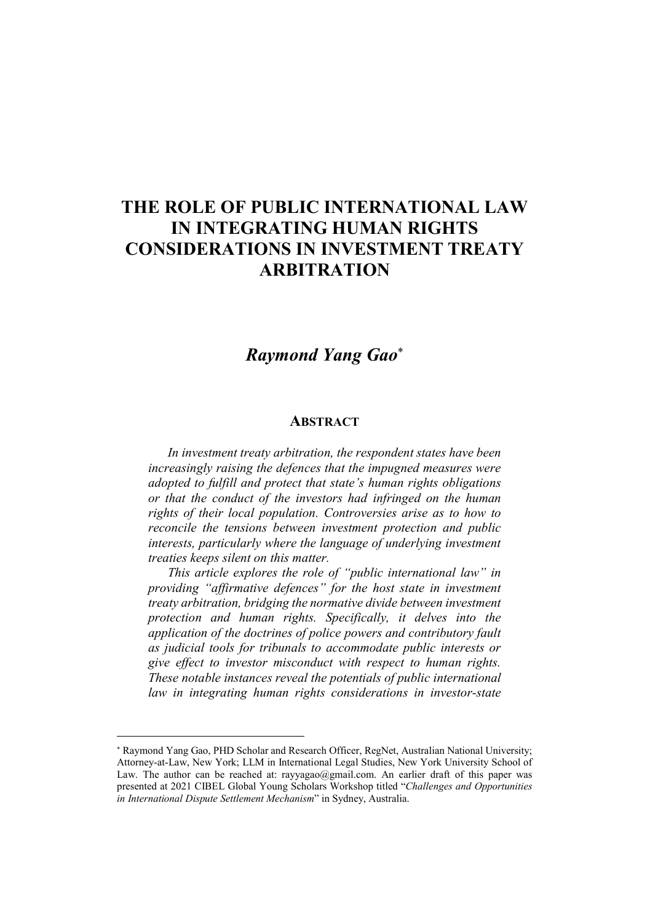## THE ROLE OF PUBLIC INTERNATIONAL LAW IN INTEGRATING HUMAN RIGHTS CONSIDERATIONS IN INVESTMENT TREATY ARBITRATION

## *Raymond Yang Gao*

## **ABSTRACT**

*In investment treaty arbitration, the respondent states have been increasingly raising the defences that the impugned measures were adopted to fulfill and protect that state's human rights obligations or that the conduct of the investors had infringed on the human rights of their local population. Controversies arise as to how to reconcile the tensions between investment protection and public interests, particularly where the language of underlying investment treaties keeps silent on this matter.* 

*This article explores the role of "public international law" in providing "affirmative defences" for the host state in investment treaty arbitration, bridging the normative divide between investment protection and human rights. Specifically, it delves into the application of the doctrines of police powers and contributory fault as judicial tools for tribunals to accommodate public interests or give effect to investor misconduct with respect to human rights. These notable instances reveal the potentials of public international law in integrating human rights considerations in investor-state* 

 $\overline{a}$ 

Raymond Yang Gao, PHD Scholar and Research Officer, RegNet, Australian National University; Attorney-at-Law, New York; LLM in International Legal Studies, New York University School of Law. The author can be reached at: rayyagao@gmail.com. An earlier draft of this paper was presented at 2021 CIBEL Global Young Scholars Workshop titled "*Challenges and Opportunities in International Dispute Settlement Mechanism*" in Sydney, Australia.